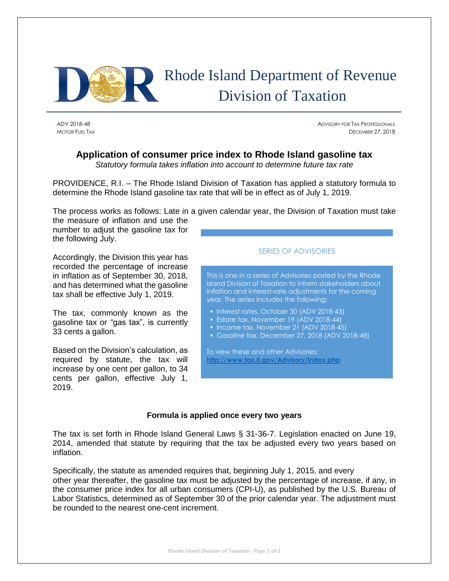

## Rhode Island Department of Revenue Division of Taxation

ADV 2018-48 ADVISORY FOR TAX PROFESSIONALS MOTOR FUEL TAX **DECEMBER 27, 2018** 

## **Application of consumer price index to Rhode Island gasoline tax**

*Statutory formula takes inflation into account to determine future tax rate*

PROVIDENCE, R.I. – The Rhode Island Division of Taxation has applied a statutory formula to determine the Rhode Island gasoline tax rate that will be in effect as of July 1, 2019.

The process works as follows: Late in a given calendar year, the Division of Taxation must take

the measure of inflation and use the number to adjust the gasoline tax for the following July.

Accordingly, the Division this year has recorded the percentage of increase in inflation as of September 30, 2018, and has determined what the gasoline tax shall be effective July 1, 2019.

The tax, commonly known as the gasoline tax or "gas tax", is currently 33 cents a gallon.

Based on the Division's calculation, as required by statute, the tax will increase by one cent per gallon, to 34 cents per gallon, effective July 1, 2019.

## SERIES OF ADVISORIES

This is one in a series of Advisories posted by the Rhode Island Division of Taxation to inform stakeholders about inflation and interest-rate adjustments for the coming year. The series includes the following:

- Interest rates, October 30 (ADV 2018-43)
- **Estate tax, November 19 (ADV 2018-44)**
- Income tax, November 21 (ADV 2018-45)
- Gasoline tax, December 27, 2018 (ADV 2018-48)

To view these and other Advisories: **<http://www.tax.ri.gov/Advisory/index.php>**

## **Formula is applied once every two years**

The tax is set forth in Rhode Island General Laws § 31-36-7. Legislation enacted on June 19, 2014, amended that statute by requiring that the tax be adjusted every two years based on inflation.

Specifically, the statute as amended requires that, beginning July 1, 2015, and every other year thereafter, the gasoline tax must be adjusted by the percentage of increase, if any, in the consumer price index for all urban consumers (CPI-U), as published by the U.S. Bureau of Labor Statistics, determined as of September 30 of the prior calendar year. The adjustment must be rounded to the nearest one-cent increment.